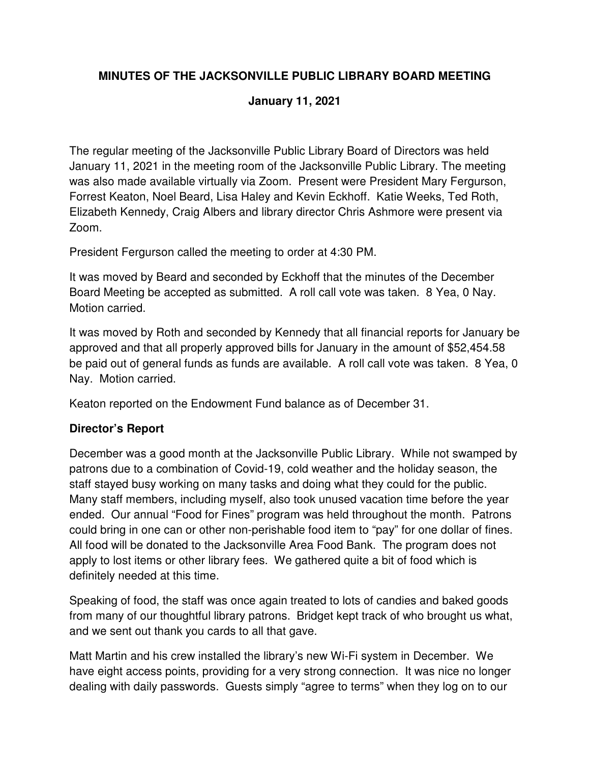# **MINUTES OF THE JACKSONVILLE PUBLIC LIBRARY BOARD MEETING**

#### **January 11, 2021**

The regular meeting of the Jacksonville Public Library Board of Directors was held January 11, 2021 in the meeting room of the Jacksonville Public Library. The meeting was also made available virtually via Zoom. Present were President Mary Fergurson, Forrest Keaton, Noel Beard, Lisa Haley and Kevin Eckhoff. Katie Weeks, Ted Roth, Elizabeth Kennedy, Craig Albers and library director Chris Ashmore were present via Zoom.

President Fergurson called the meeting to order at 4:30 PM.

It was moved by Beard and seconded by Eckhoff that the minutes of the December Board Meeting be accepted as submitted. A roll call vote was taken. 8 Yea, 0 Nay. Motion carried.

It was moved by Roth and seconded by Kennedy that all financial reports for January be approved and that all properly approved bills for January in the amount of \$52,454.58 be paid out of general funds as funds are available. A roll call vote was taken. 8 Yea, 0 Nay. Motion carried.

Keaton reported on the Endowment Fund balance as of December 31.

# **Director's Report**

December was a good month at the Jacksonville Public Library. While not swamped by patrons due to a combination of Covid-19, cold weather and the holiday season, the staff stayed busy working on many tasks and doing what they could for the public. Many staff members, including myself, also took unused vacation time before the year ended. Our annual "Food for Fines" program was held throughout the month. Patrons could bring in one can or other non-perishable food item to "pay" for one dollar of fines. All food will be donated to the Jacksonville Area Food Bank. The program does not apply to lost items or other library fees. We gathered quite a bit of food which is definitely needed at this time.

Speaking of food, the staff was once again treated to lots of candies and baked goods from many of our thoughtful library patrons. Bridget kept track of who brought us what, and we sent out thank you cards to all that gave.

Matt Martin and his crew installed the library's new Wi-Fi system in December. We have eight access points, providing for a very strong connection. It was nice no longer dealing with daily passwords. Guests simply "agree to terms" when they log on to our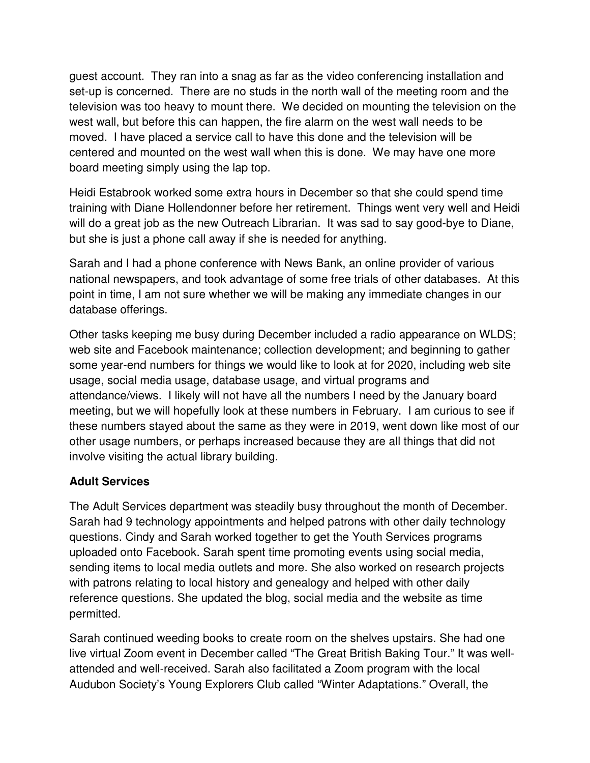guest account. They ran into a snag as far as the video conferencing installation and set-up is concerned. There are no studs in the north wall of the meeting room and the television was too heavy to mount there. We decided on mounting the television on the west wall, but before this can happen, the fire alarm on the west wall needs to be moved. I have placed a service call to have this done and the television will be centered and mounted on the west wall when this is done. We may have one more board meeting simply using the lap top.

Heidi Estabrook worked some extra hours in December so that she could spend time training with Diane Hollendonner before her retirement. Things went very well and Heidi will do a great job as the new Outreach Librarian. It was sad to say good-bye to Diane, but she is just a phone call away if she is needed for anything.

Sarah and I had a phone conference with News Bank, an online provider of various national newspapers, and took advantage of some free trials of other databases. At this point in time, I am not sure whether we will be making any immediate changes in our database offerings.

Other tasks keeping me busy during December included a radio appearance on WLDS; web site and Facebook maintenance; collection development; and beginning to gather some year-end numbers for things we would like to look at for 2020, including web site usage, social media usage, database usage, and virtual programs and attendance/views. I likely will not have all the numbers I need by the January board meeting, but we will hopefully look at these numbers in February. I am curious to see if these numbers stayed about the same as they were in 2019, went down like most of our other usage numbers, or perhaps increased because they are all things that did not involve visiting the actual library building.

#### **Adult Services**

The Adult Services department was steadily busy throughout the month of December. Sarah had 9 technology appointments and helped patrons with other daily technology questions. Cindy and Sarah worked together to get the Youth Services programs uploaded onto Facebook. Sarah spent time promoting events using social media, sending items to local media outlets and more. She also worked on research projects with patrons relating to local history and genealogy and helped with other daily reference questions. She updated the blog, social media and the website as time permitted.

Sarah continued weeding books to create room on the shelves upstairs. She had one live virtual Zoom event in December called "The Great British Baking Tour." It was wellattended and well-received. Sarah also facilitated a Zoom program with the local Audubon Society's Young Explorers Club called "Winter Adaptations." Overall, the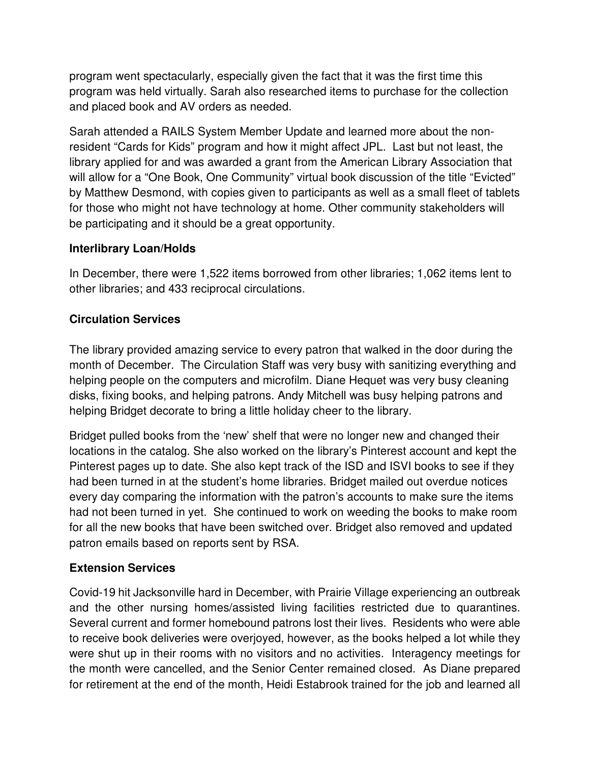program went spectacularly, especially given the fact that it was the first time this program was held virtually. Sarah also researched items to purchase for the collection and placed book and AV orders as needed.

Sarah attended a RAILS System Member Update and learned more about the nonresident "Cards for Kids" program and how it might affect JPL. Last but not least, the library applied for and was awarded a grant from the American Library Association that will allow for a "One Book, One Community" virtual book discussion of the title "Evicted" by Matthew Desmond, with copies given to participants as well as a small fleet of tablets for those who might not have technology at home. Other community stakeholders will be participating and it should be a great opportunity.

## **Interlibrary Loan/Holds**

In December, there were 1,522 items borrowed from other libraries; 1,062 items lent to other libraries; and 433 reciprocal circulations.

# **Circulation Services**

The library provided amazing service to every patron that walked in the door during the month of December. The Circulation Staff was very busy with sanitizing everything and helping people on the computers and microfilm. Diane Hequet was very busy cleaning disks, fixing books, and helping patrons. Andy Mitchell was busy helping patrons and helping Bridget decorate to bring a little holiday cheer to the library.

Bridget pulled books from the 'new' shelf that were no longer new and changed their locations in the catalog. She also worked on the library's Pinterest account and kept the Pinterest pages up to date. She also kept track of the ISD and ISVI books to see if they had been turned in at the student's home libraries. Bridget mailed out overdue notices every day comparing the information with the patron's accounts to make sure the items had not been turned in yet. She continued to work on weeding the books to make room for all the new books that have been switched over. Bridget also removed and updated patron emails based on reports sent by RSA.

# **Extension Services**

Covid-19 hit Jacksonville hard in December, with Prairie Village experiencing an outbreak and the other nursing homes/assisted living facilities restricted due to quarantines. Several current and former homebound patrons lost their lives. Residents who were able to receive book deliveries were overjoyed, however, as the books helped a lot while they were shut up in their rooms with no visitors and no activities. Interagency meetings for the month were cancelled, and the Senior Center remained closed. As Diane prepared for retirement at the end of the month, Heidi Estabrook trained for the job and learned all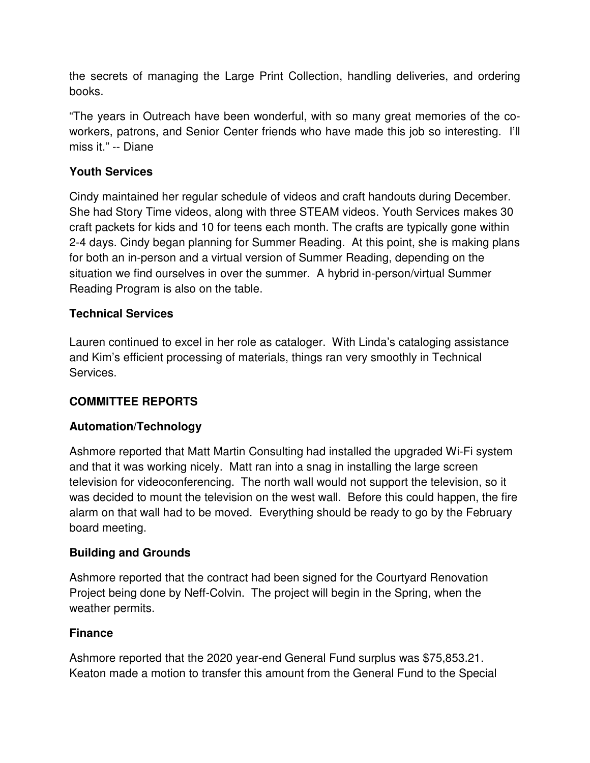the secrets of managing the Large Print Collection, handling deliveries, and ordering books.

"The years in Outreach have been wonderful, with so many great memories of the coworkers, patrons, and Senior Center friends who have made this job so interesting. I'll miss it." -- Diane

# **Youth Services**

Cindy maintained her regular schedule of videos and craft handouts during December. She had Story Time videos, along with three STEAM videos. Youth Services makes 30 craft packets for kids and 10 for teens each month. The crafts are typically gone within 2-4 days. Cindy began planning for Summer Reading. At this point, she is making plans for both an in-person and a virtual version of Summer Reading, depending on the situation we find ourselves in over the summer. A hybrid in-person/virtual Summer Reading Program is also on the table.

## **Technical Services**

Lauren continued to excel in her role as cataloger. With Linda's cataloging assistance and Kim's efficient processing of materials, things ran very smoothly in Technical Services.

# **COMMITTEE REPORTS**

# **Automation/Technology**

Ashmore reported that Matt Martin Consulting had installed the upgraded Wi-Fi system and that it was working nicely. Matt ran into a snag in installing the large screen television for videoconferencing. The north wall would not support the television, so it was decided to mount the television on the west wall. Before this could happen, the fire alarm on that wall had to be moved. Everything should be ready to go by the February board meeting.

#### **Building and Grounds**

Ashmore reported that the contract had been signed for the Courtyard Renovation Project being done by Neff-Colvin. The project will begin in the Spring, when the weather permits.

#### **Finance**

Ashmore reported that the 2020 year-end General Fund surplus was \$75,853.21. Keaton made a motion to transfer this amount from the General Fund to the Special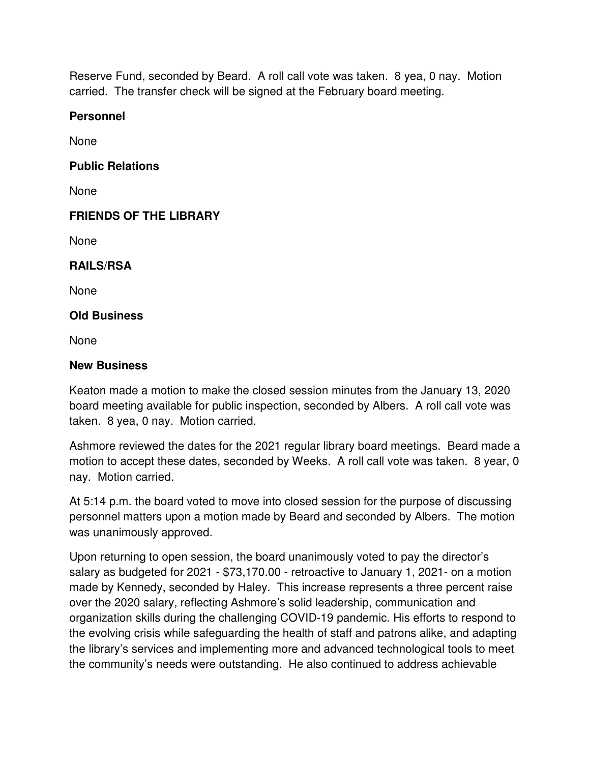Reserve Fund, seconded by Beard. A roll call vote was taken. 8 yea, 0 nay. Motion carried. The transfer check will be signed at the February board meeting.

#### **Personnel**

None

## **Public Relations**

None

# **FRIENDS OF THE LIBRARY**

None

## **RAILS/RSA**

None

#### **Old Business**

None

#### **New Business**

Keaton made a motion to make the closed session minutes from the January 13, 2020 board meeting available for public inspection, seconded by Albers. A roll call vote was taken. 8 yea, 0 nay. Motion carried.

Ashmore reviewed the dates for the 2021 regular library board meetings. Beard made a motion to accept these dates, seconded by Weeks. A roll call vote was taken. 8 year, 0 nay. Motion carried.

At 5:14 p.m. the board voted to move into closed session for the purpose of discussing personnel matters upon a motion made by Beard and seconded by Albers. The motion was unanimously approved.

Upon returning to open session, the board unanimously voted to pay the director's salary as budgeted for 2021 - \$73,170.00 - retroactive to January 1, 2021- on a motion made by Kennedy, seconded by Haley. This increase represents a three percent raise over the 2020 salary, reflecting Ashmore's solid leadership, communication and organization skills during the challenging COVID-19 pandemic. His efforts to respond to the evolving crisis while safeguarding the health of staff and patrons alike, and adapting the library's services and implementing more and advanced technological tools to meet the community's needs were outstanding. He also continued to address achievable